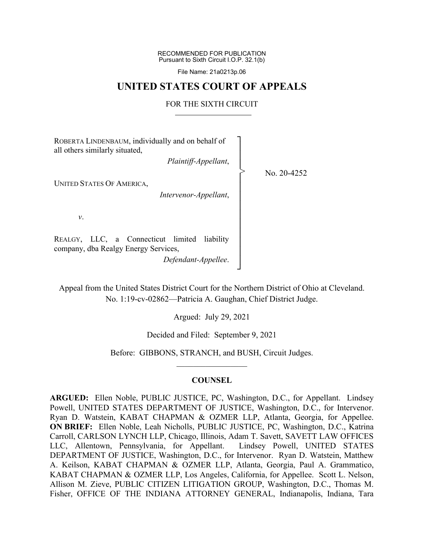RECOMMENDED FOR PUBLICATION Pursuant to Sixth Circuit I.O.P. 32.1(b)

File Name: 21a0213p.06

## **UNITED STATES COURT OF APPEALS**

## FOR THE SIXTH CIRCUIT

ROBERTA LINDENBAUM, individually and on behalf of all others similarly situated, *Plaintiff-Appellant*, UNITED STATES OF AMERICA, *Intervenor-Appellant*, *v*. REALGY, LLC, a Connecticut limited liability company, dba Realgy Energy Services, *Defendant-Appellee*. ┐ │ │ │ │ │ │ │ │ │ │ │ │ │ No. 20-4252 >

Appeal from the United States District Court for the Northern District of Ohio at Cleveland. No. 1:19-cv-02862—Patricia A. Gaughan, Chief District Judge.

┘

Argued: July 29, 2021

Decided and Filed: September 9, 2021

Before: GIBBONS, STRANCH, and BUSH, Circuit Judges.  $\frac{1}{2}$ 

## **COUNSEL**

**ARGUED:** Ellen Noble, PUBLIC JUSTICE, PC, Washington, D.C., for Appellant. Lindsey Powell, UNITED STATES DEPARTMENT OF JUSTICE, Washington, D.C., for Intervenor. Ryan D. Watstein, KABAT CHAPMAN & OZMER LLP, Atlanta, Georgia, for Appellee. **ON BRIEF:** Ellen Noble, Leah Nicholls, PUBLIC JUSTICE, PC, Washington, D.C., Katrina Carroll, CARLSON LYNCH LLP, Chicago, Illinois, Adam T. Savett, SAVETT LAW OFFICES LLC, Allentown, Pennsylvania, for Appellant. Lindsey Powell, UNITED STATES DEPARTMENT OF JUSTICE, Washington, D.C., for Intervenor. Ryan D. Watstein, Matthew A. Keilson, KABAT CHAPMAN & OZMER LLP, Atlanta, Georgia, Paul A. Grammatico, KABAT CHAPMAN & OZMER LLP, Los Angeles, California, for Appellee. Scott L. Nelson, Allison M. Zieve, PUBLIC CITIZEN LITIGATION GROUP, Washington, D.C., Thomas M. Fisher, OFFICE OF THE INDIANA ATTORNEY GENERAL, Indianapolis, Indiana, Tara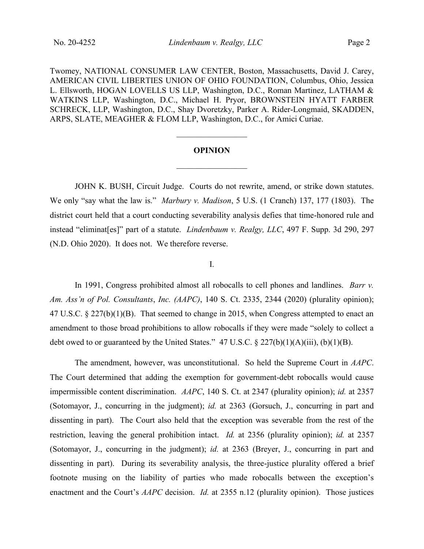Twomey, NATIONAL CONSUMER LAW CENTER, Boston, Massachusetts, David J. Carey, AMERICAN CIVIL LIBERTIES UNION OF OHIO FOUNDATION, Columbus, Ohio, Jessica L. Ellsworth, HOGAN LOVELLS US LLP, Washington, D.C., Roman Martinez, LATHAM & WATKINS LLP, Washington, D.C., Michael H. Pryor, BROWNSTEIN HYATT FARBER SCHRECK, LLP, Washington, D.C., Shay Dvoretzky, Parker A. Rider-Longmaid, SKADDEN, ARPS, SLATE, MEAGHER & FLOM LLP, Washington, D.C., for Amici Curiae.

# **OPINION**  $\mathcal{L}_\text{max}$

 $\frac{1}{2}$ 

JOHN K. BUSH, Circuit Judge. Courts do not rewrite, amend, or strike down statutes. We only "say what the law is." *Marbury v. Madison*, 5 U.S. (1 Cranch) 137, 177 (1803). The district court held that a court conducting severability analysis defies that time-honored rule and instead "eliminat[es]" part of a statute. *Lindenbaum v. Realgy, LLC*, 497 F. Supp. 3d 290, 297 (N.D. Ohio 2020). It does not. We therefore reverse.

## I.

In 1991, Congress prohibited almost all robocalls to cell phones and landlines. *Barr v. Am. Ass'n of Pol. Consultants*, *Inc. (AAPC)*, 140 S. Ct. 2335, 2344 (2020) (plurality opinion); 47 U.S.C. § 227(b)(1)(B). That seemed to change in 2015, when Congress attempted to enact an amendment to those broad prohibitions to allow robocalls if they were made "solely to collect a debt owed to or guaranteed by the United States." 47 U.S.C.  $\S 227(b)(1)(A)(iii)$ , (b)(1)(B).

The amendment, however, was unconstitutional. So held the Supreme Court in *AAPC*. The Court determined that adding the exemption for government-debt robocalls would cause impermissible content discrimination. *AAPC*, 140 S. Ct. at 2347 (plurality opinion); *id.* at 2357 (Sotomayor, J., concurring in the judgment); *id.* at 2363 (Gorsuch, J., concurring in part and dissenting in part). The Court also held that the exception was severable from the rest of the restriction, leaving the general prohibition intact. *Id.* at 2356 (plurality opinion); *id.* at 2357 (Sotomayor, J., concurring in the judgment); *id.* at 2363 (Breyer, J., concurring in part and dissenting in part). During its severability analysis, the three-justice plurality offered a brief footnote musing on the liability of parties who made robocalls between the exception's enactment and the Court's *AAPC* decision. *Id.* at 2355 n.12 (plurality opinion). Those justices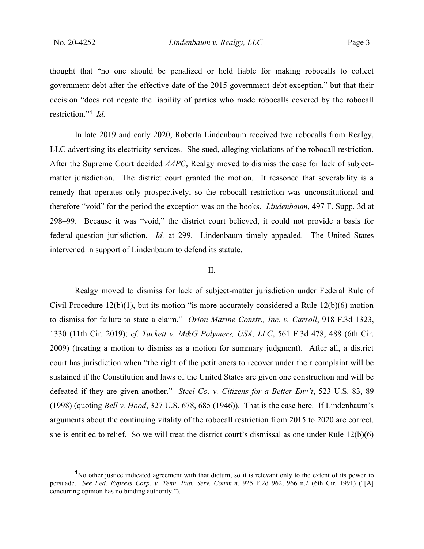thought that "no one should be penalized or held liable for making robocalls to collect government debt after the effective date of the 2015 government-debt exception," but that their decision "does not negate the liability of parties who made robocalls covered by the robocall restriction."**<sup>1</sup>** *Id.*

In late 2019 and early 2020, Roberta Lindenbaum received two robocalls from Realgy, LLC advertising its electricity services. She sued, alleging violations of the robocall restriction. After the Supreme Court decided *AAPC*, Realgy moved to dismiss the case for lack of subjectmatter jurisdiction. The district court granted the motion. It reasoned that severability is a remedy that operates only prospectively, so the robocall restriction was unconstitutional and therefore "void" for the period the exception was on the books. *Lindenbaum*, 497 F. Supp. 3d at 298–99. Because it was "void," the district court believed, it could not provide a basis for federal-question jurisdiction. *Id.* at 299. Lindenbaum timely appealed. The United States intervened in support of Lindenbaum to defend its statute.

#### II.

Realgy moved to dismiss for lack of subject-matter jurisdiction under Federal Rule of Civil Procedure 12(b)(1), but its motion "is more accurately considered a Rule 12(b)(6) motion to dismiss for failure to state a claim." *Orion Marine Constr., Inc. v. Carroll*, 918 F.3d 1323, 1330 (11th Cir. 2019); *cf. Tackett v. M&G Polymers, USA, LLC*, 561 F.3d 478, 488 (6th Cir. 2009) (treating a motion to dismiss as a motion for summary judgment). After all, a district court has jurisdiction when "the right of the petitioners to recover under their complaint will be sustained if the Constitution and laws of the United States are given one construction and will be defeated if they are given another." *Steel Co. v. Citizens for a Better Env't*, 523 U.S. 83, 89 (1998) (quoting *Bell v. Hood*, 327 U.S. 678, 685 (1946)). That is the case here. If Lindenbaum's arguments about the continuing vitality of the robocall restriction from 2015 to 2020 are correct, she is entitled to relief. So we will treat the district court's dismissal as one under Rule 12(b)(6)

**<sup>1</sup>**No other justice indicated agreement with that dictum, so it is relevant only to the extent of its power to persuade. *See Fed. Express Corp. v. Tenn. Pub. Serv. Comm'n*, 925 F.2d 962, 966 n.2 (6th Cir. 1991) ("[A] concurring opinion has no binding authority.").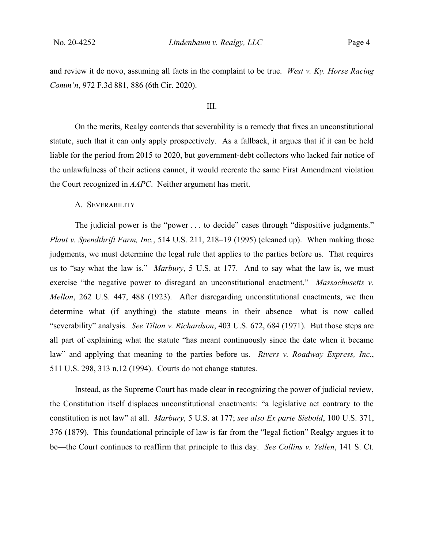and review it de novo, assuming all facts in the complaint to be true. *West v. Ky. Horse Racing Comm'n*, 972 F.3d 881, 886 (6th Cir. 2020).

#### III.

On the merits, Realgy contends that severability is a remedy that fixes an unconstitutional statute, such that it can only apply prospectively. As a fallback, it argues that if it can be held liable for the period from 2015 to 2020, but government-debt collectors who lacked fair notice of the unlawfulness of their actions cannot, it would recreate the same First Amendment violation the Court recognized in *AAPC*. Neither argument has merit.

#### A. SEVERABILITY

The judicial power is the "power . . . to decide" cases through "dispositive judgments." *Plaut v. Spendthrift Farm, Inc.*, 514 U.S. 211, 218–19 (1995) (cleaned up). When making those judgments, we must determine the legal rule that applies to the parties before us. That requires us to "say what the law is." *Marbury*, 5 U.S. at 177. And to say what the law is, we must exercise "the negative power to disregard an unconstitutional enactment." *Massachusetts v. Mellon*, 262 U.S. 447, 488 (1923). After disregarding unconstitutional enactments, we then determine what (if anything) the statute means in their absence—what is now called "severability" analysis. *See Tilton v. Richardson*, 403 U.S. 672, 684 (1971). But those steps are all part of explaining what the statute "has meant continuously since the date when it became law" and applying that meaning to the parties before us. *Rivers v. Roadway Express, Inc.*, 511 U.S. 298, 313 n.12 (1994). Courts do not change statutes.

Instead, as the Supreme Court has made clear in recognizing the power of judicial review, the Constitution itself displaces unconstitutional enactments: "a legislative act contrary to the constitution is not law" at all. *Marbury*, 5 U.S. at 177; *see also Ex parte Siebold*, 100 U.S. 371, 376 (1879). This foundational principle of law is far from the "legal fiction" Realgy argues it to be—the Court continues to reaffirm that principle to this day. *See Collins v. Yellen*, 141 S. Ct.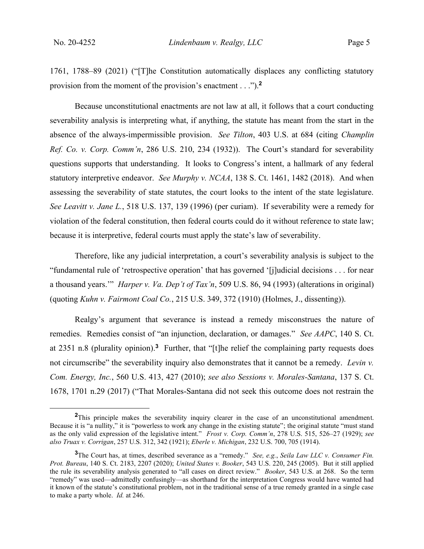1761, 1788–89 (2021) ("[T]he Constitution automatically displaces any conflicting statutory provision from the moment of the provision's enactment . . .").**<sup>2</sup>**

Because unconstitutional enactments are not law at all, it follows that a court conducting severability analysis is interpreting what, if anything, the statute has meant from the start in the absence of the always-impermissible provision. *See Tilton*, 403 U.S. at 684 (citing *Champlin Ref. Co. v. Corp. Comm'n*, 286 U.S. 210, 234 (1932)). The Court's standard for severability questions supports that understanding. It looks to Congress's intent, a hallmark of any federal statutory interpretive endeavor. *See Murphy v. NCAA*, 138 S. Ct. 1461, 1482 (2018). And when assessing the severability of state statutes, the court looks to the intent of the state legislature. *See Leavitt v. Jane L.*, 518 U.S. 137, 139 (1996) (per curiam). If severability were a remedy for violation of the federal constitution, then federal courts could do it without reference to state law; because it is interpretive, federal courts must apply the state's law of severability.

Therefore, like any judicial interpretation, a court's severability analysis is subject to the "fundamental rule of 'retrospective operation' that has governed '[j]udicial decisions . . . for near a thousand years.'" *Harper v. Va. Dep't of Tax'n*, 509 U.S. 86, 94 (1993) (alterations in original) (quoting *Kuhn v. Fairmont Coal Co.*, 215 U.S. 349, 372 (1910) (Holmes, J., dissenting)).

Realgy's argument that severance is instead a remedy misconstrues the nature of remedies. Remedies consist of "an injunction, declaration, or damages." *See AAPC*, 140 S. Ct. at 2351 n.8 (plurality opinion).**<sup>3</sup>** Further, that "[t]he relief the complaining party requests does not circumscribe" the severability inquiry also demonstrates that it cannot be a remedy. *Levin v. Com. Energy, Inc.*, 560 U.S. 413, 427 (2010); *see also Sessions v. Morales-Santana*, 137 S. Ct. 1678, 1701 n.29 (2017) ("That Morales-Santana did not seek this outcome does not restrain the

**<sup>2</sup>**This principle makes the severability inquiry clearer in the case of an unconstitutional amendment. Because it is "a nullity," it is "powerless to work any change in the existing statute"; the original statute "must stand as the only valid expression of the legislative intent." *Frost v. Corp. Comm'n*, 278 U.S. 515, 526–27 (1929); *see also Truax v. Corrigan*, 257 U.S. 312, 342 (1921); *Eberle v. Michigan*, 232 U.S. 700, 705 (1914).

**<sup>3</sup>**The Court has, at times, described severance as a "remedy." *See, e.g.*, *Seila Law LLC v. Consumer Fin. Prot. Bureau*, 140 S. Ct. 2183, 2207 (2020); *United States v. Booker*, 543 U.S. 220, 245 (2005). But it still applied the rule its severability analysis generated to "all cases on direct review." *Booker*, 543 U.S. at 268. So the term "remedy" was used—admittedly confusingly—as shorthand for the interpretation Congress would have wanted had it known of the statute's constitutional problem, not in the traditional sense of a true remedy granted in a single case to make a party whole. *Id.* at 246.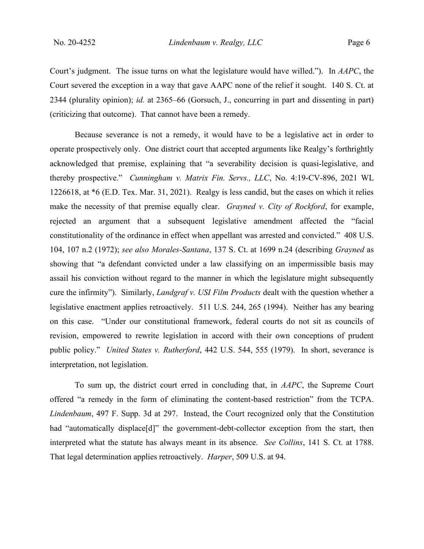Court's judgment. The issue turns on what the legislature would have willed."). In *AAPC*, the Court severed the exception in a way that gave AAPC none of the relief it sought. 140 S. Ct. at 2344 (plurality opinion); *id.* at 2365–66 (Gorsuch, J., concurring in part and dissenting in part) (criticizing that outcome). That cannot have been a remedy.

Because severance is not a remedy, it would have to be a legislative act in order to operate prospectively only. One district court that accepted arguments like Realgy's forthrightly acknowledged that premise, explaining that "a severability decision is quasi-legislative, and thereby prospective." *Cunningham v. Matrix Fin. Servs., LLC*, No. 4:19-CV-896, 2021 WL 1226618, at \*6 (E.D. Tex. Mar. 31, 2021). Realgy is less candid, but the cases on which it relies make the necessity of that premise equally clear. *Grayned v. City of Rockford*, for example, rejected an argument that a subsequent legislative amendment affected the "facial constitutionality of the ordinance in effect when appellant was arrested and convicted." 408 U.S. 104, 107 n.2 (1972); *see also Morales-Santana*, 137 S. Ct. at 1699 n.24 (describing *Grayned* as showing that "a defendant convicted under a law classifying on an impermissible basis may assail his conviction without regard to the manner in which the legislature might subsequently cure the infirmity"). Similarly, *Landgraf v. USI Film Products* dealt with the question whether a legislative enactment applies retroactively. 511 U.S. 244, 265 (1994). Neither has any bearing on this case. "Under our constitutional framework, federal courts do not sit as councils of revision, empowered to rewrite legislation in accord with their own conceptions of prudent public policy." *United States v. Rutherford*, 442 U.S. 544, 555 (1979). In short, severance is interpretation, not legislation.

To sum up, the district court erred in concluding that, in *AAPC*, the Supreme Court offered "a remedy in the form of eliminating the content-based restriction" from the TCPA. *Lindenbaum*, 497 F. Supp. 3d at 297. Instead, the Court recognized only that the Constitution had "automatically displace<sup>[d]"</sup> the government-debt-collector exception from the start, then interpreted what the statute has always meant in its absence. *See Collins*, 141 S. Ct. at 1788. That legal determination applies retroactively. *Harper*, 509 U.S. at 94.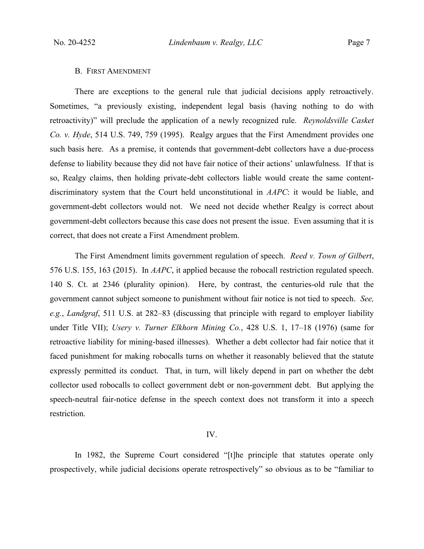#### B. FIRST AMENDMENT

There are exceptions to the general rule that judicial decisions apply retroactively. Sometimes, "a previously existing, independent legal basis (having nothing to do with retroactivity)" will preclude the application of a newly recognized rule. *Reynoldsville Casket Co. v. Hyde*, 514 U.S. 749, 759 (1995). Realgy argues that the First Amendment provides one such basis here. As a premise, it contends that government-debt collectors have a due-process defense to liability because they did not have fair notice of their actions' unlawfulness. If that is so, Realgy claims, then holding private-debt collectors liable would create the same contentdiscriminatory system that the Court held unconstitutional in *AAPC*: it would be liable, and government-debt collectors would not. We need not decide whether Realgy is correct about government-debt collectors because this case does not present the issue. Even assuming that it is correct, that does not create a First Amendment problem.

The First Amendment limits government regulation of speech. *Reed v. Town of Gilbert*, 576 U.S. 155, 163 (2015). In *AAPC*, it applied because the robocall restriction regulated speech. 140 S. Ct. at 2346 (plurality opinion). Here, by contrast, the centuries-old rule that the government cannot subject someone to punishment without fair notice is not tied to speech. *See, e.g.*, *Landgraf*, 511 U.S. at 282–83 (discussing that principle with regard to employer liability under Title VII); *Usery v. Turner Elkhorn Mining Co.*, 428 U.S. 1, 17–18 (1976) (same for retroactive liability for mining-based illnesses). Whether a debt collector had fair notice that it faced punishment for making robocalls turns on whether it reasonably believed that the statute expressly permitted its conduct. That, in turn, will likely depend in part on whether the debt collector used robocalls to collect government debt or non-government debt. But applying the speech-neutral fair-notice defense in the speech context does not transform it into a speech restriction.

## IV.

In 1982, the Supreme Court considered "[t]he principle that statutes operate only prospectively, while judicial decisions operate retrospectively" so obvious as to be "familiar to